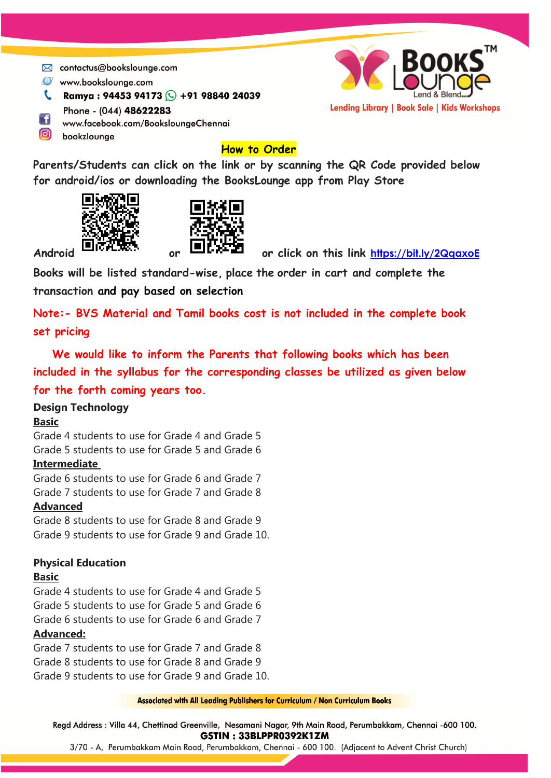- ⊠ contactus@bookslounge.com
- www.bookslounge.com
- **C** Ramya: 94453 94173 **C** +91 98840 24039



- Phone (044) 48622283
- F www.facebook.com/BooksloungeChennai
- $\Omega$ bookzlounge

# **How to Order**

**Parents/Students can click on the link or by scanning the QR Code provided below for android/ios or downloading the BooksLounge app from Play Store**





Android **EUVERSON** or **EUVEFULLE** or click on this link <https://bit.ly/2QqaxoE>

**Books will be listed standard-wise, place the order in cart and complete the transaction and pay based on selection**

**Note:- BVS Material and Tamil books cost is not included in the complete book set pricing**

 **We would like to inform the Parents that following books which has been included in the syllabus for the corresponding classes be utilized as given below for the forth coming years too.**

### **Design Technology**

### **Basic**

Grade 4 students to use for Grade 4 and Grade 5 Grade 5 students to use for Grade 5 and Grade 6

### **Intermediate**

Grade 6 students to use for Grade 6 and Grade 7 Grade 7 students to use for Grade 7 and Grade 8

### **Advanced**

Grade 8 students to use for Grade 8 and Grade 9 Grade 9 students to use for Grade 9 and Grade 10.

## **Physical Education**

### **Basic**

Grade 4 students to use for Grade 4 and Grade 5 Grade 5 students to use for Grade 5 and Grade 6 Grade 6 students to use for Grade 6 and Grade 7 **Advanced:**

Grade 7 students to use for Grade 7 and Grade 8 Grade 8 students to use for Grade 8 and Grade 9 Grade 9 students to use for Grade 9 and Grade 10.

**Associated with All Leading Publishers for Curriculum / Non Curriculum Books** 

Regd Address : Villa 44, Chettinad Greenville, Nesamani Nagar, 9th Main Road, Perumbakkam, Chennai -600 100. GSTIN: 33BLPPR0392K1ZM

3/70 - A, Perumbakkam Main Road, Perumbakkam, Chennai - 600 100. (Adjacent to Advent Christ Church)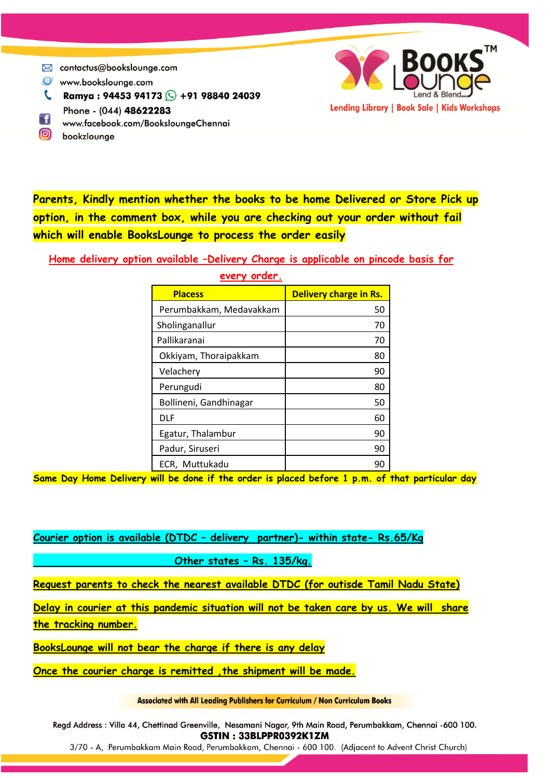- $\boxtimes$  contactus@bookslounge.com
- www.bookslounge.com
- **C** Ramya: 94453 94173 **C** +91 98840 24039
- Phone (044) 48622283 F f
- www.facebook.com/BooksloungeChennai
- $\bigcirc$ bookzlounge



Lending Library | Book Sale | Kids Workshops

**Home delivery option available –Delivery Charge is applicable on pincode basis for** 

| <b>Placess</b>          | Delivery charge in Rs. |
|-------------------------|------------------------|
| Perumbakkam, Medavakkam | 50                     |
| Sholinganallur          | 70                     |
| Pallikaranai            | 70                     |
| Okkiyam, Thoraipakkam   | 80                     |
| Velachery               | 90                     |
| Perungudi               | 80                     |
| Bollineni, Gandhinagar  | 50                     |
| DLF                     | 60                     |
| Egatur, Thalambur       | 90                     |
| Padur, Siruseri         | 90                     |
| ECR, Muttukadu          |                        |

**every order.**

**Same Day Home Delivery will be done if the order is placed before 1 p.m. of that particular day**

**Courier option is available (DTDC – delivery partner)- within state- Rs.65/Kg** 

 **Other states – Rs. 135/kg.** 

**Request parents to check the nearest available DTDC (for outisde Tamil Nadu State)**

**Delay in courier at this pandemic situation will not be taken care by us. We will share the tracking number.** 

**BooksLounge will not bear the charge if there is any delay** 

**Once the courier charge is remitted ,the shipment will be made.**

**Associated with All Leading Publishers for Curriculum / Non Curriculum Books** 

Regd Address : Villa 44, Chettinad Greenville, Nesamani Nagar, 9th Main Road, Perumbakkam, Chennai -600 100. GSTIN: 33BLPPR0392K1ZM

3/70 - A, Perumbakkam Main Road, Perumbakkam, Chennai - 600 100. (Adjacent to Advent Christ Church)